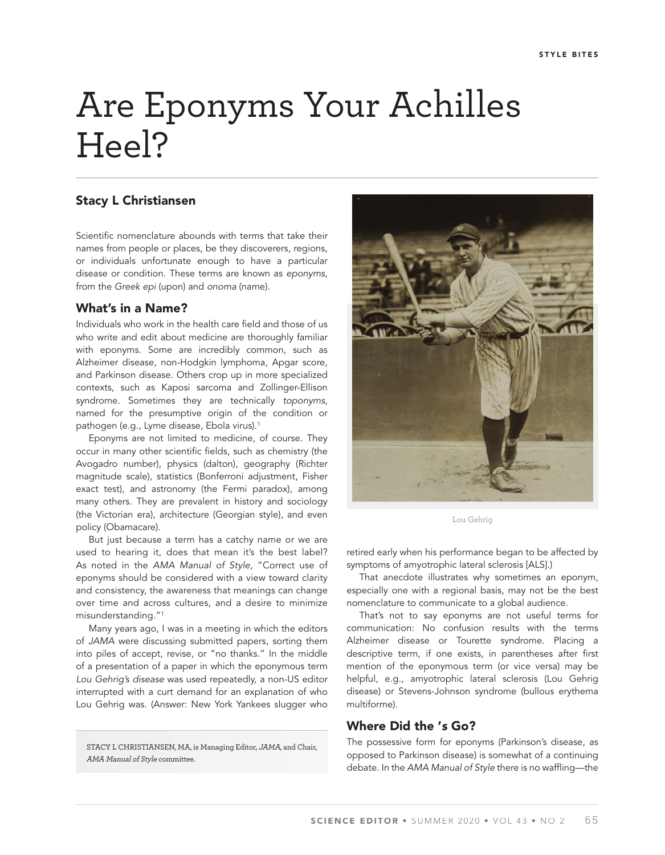# Are Eponyms Your Achilles Heel?

## Stacy L Christiansen

Scientific nomenclature abounds with terms that take their names from people or places, be they discoverers, regions, or individuals unfortunate enough to have a particular disease or condition. These terms are known as *eponyms*, from the *Greek epi* (upon) and *onoma* (name).

### What's in a Name?

Individuals who work in the health care field and those of us who write and edit about medicine are thoroughly familiar with eponyms. Some are incredibly common, such as Alzheimer disease, non-Hodgkin lymphoma, Apgar score, and Parkinson disease. Others crop up in more specialized contexts, such as Kaposi sarcoma and Zollinger-Ellison syndrome. Sometimes they are technically *toponyms*, named for the presumptive origin of the condition or pathogen (e.g., Lyme disease, Ebola virus).<sup>1</sup>

Eponyms are not limited to medicine, of course. They occur in many other scientific fields, such as chemistry (the Avogadro number), physics (dalton), geography (Richter magnitude scale), statistics (Bonferroni adjustment, Fisher exact test), and astronomy (the Fermi paradox), among many others. They are prevalent in history and sociology (the Victorian era), architecture (Georgian style), and even policy (Obamacare).

But just because a term has a catchy name or we are used to hearing it, does that mean it's the best label? As noted in the *AMA Manual of Style*, "Correct use of eponyms should be considered with a view toward clarity and consistency, the awareness that meanings can change over time and across cultures, and a desire to minimize misunderstanding."1

Many years ago, I was in a meeting in which the editors of *JAMA* were discussing submitted papers, sorting them into piles of accept, revise, or "no thanks." In the middle of a presentation of a paper in which the eponymous term *Lou Gehrig's disease* was used repeatedly, a non-US editor interrupted with a curt demand for an explanation of who Lou Gehrig was. (Answer: New York Yankees slugger who

STACY L CHRISTIANSEN, MA, is Managing Editor, JAMA, and Chair, AMA Manual of Style committee.



Lou Gehrig

retired early when his performance began to be affected by symptoms of amyotrophic lateral sclerosis [ALS].)

That anecdote illustrates why sometimes an eponym, especially one with a regional basis, may not be the best nomenclature to communicate to a global audience.

That's not to say eponyms are not useful terms for communication: No confusion results with the terms Alzheimer disease or Tourette syndrome. Placing a descriptive term, if one exists, in parentheses after first mention of the eponymous term (or vice versa) may be helpful, e.g., amyotrophic lateral sclerosis (Lou Gehrig disease) or Stevens-Johnson syndrome (bullous erythema multiforme).

#### Where Did the '*s* Go?

The possessive form for eponyms (Parkinson's disease, as opposed to Parkinson disease) is somewhat of a continuing debate. In the AMA Manual of Style there is no waffling-the